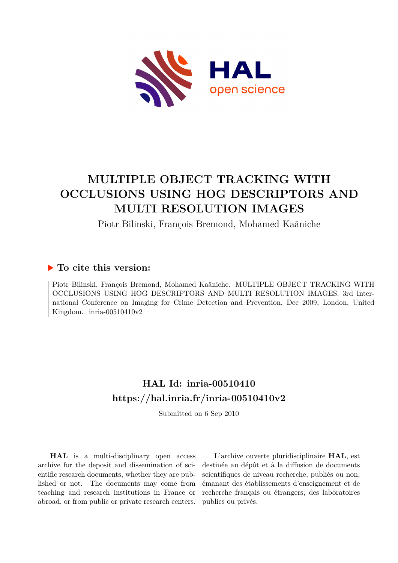

# **MULTIPLE OBJECT TRACKING WITH OCCLUSIONS USING HOG DESCRIPTORS AND MULTI RESOLUTION IMAGES**

Piotr Bilinski, François Bremond, Mohamed Kaâniche

## **To cite this version:**

Piotr Bilinski, François Bremond, Mohamed Kaâniche. MULTIPLE OBJECT TRACKING WITH OCCLUSIONS USING HOG DESCRIPTORS AND MULTI RESOLUTION IMAGES. 3rd International Conference on Imaging for Crime Detection and Prevention, Dec 2009, London, United Kingdom. inria-00510410v2

## **HAL Id: inria-00510410 <https://hal.inria.fr/inria-00510410v2>**

Submitted on 6 Sep 2010

**HAL** is a multi-disciplinary open access archive for the deposit and dissemination of scientific research documents, whether they are published or not. The documents may come from teaching and research institutions in France or abroad, or from public or private research centers.

L'archive ouverte pluridisciplinaire **HAL**, est destinée au dépôt et à la diffusion de documents scientifiques de niveau recherche, publiés ou non, émanant des établissements d'enseignement et de recherche français ou étrangers, des laboratoires publics ou privés.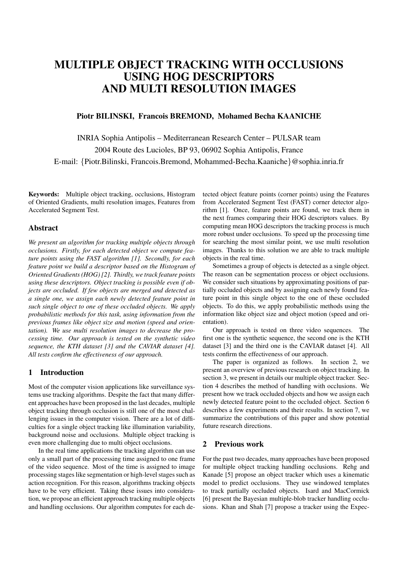## MULTIPLE OBJECT TRACKING WITH OCCLUSIONS USING HOG DESCRIPTORS AND MULTI RESOLUTION IMAGES

## Piotr BILINSKI, Francois BREMOND, Mohamed Becha KAANICHE

INRIA Sophia Antipolis – Mediterranean Research Center – PULSAR team 2004 Route des Lucioles, BP 93, 06902 Sophia Antipolis, France E-mail: {Piotr.Bilinski, Francois.Bremond, Mohammed-Becha.Kaaniche}@sophia.inria.fr

Keywords: Multiple object tracking, occlusions, Histogram of Oriented Gradients, multi resolution images, Features from Accelerated Segment Test.

## Abstract

*We present an algorithm for tracking multiple objects through occlusions. Firstly, for each detected object we compute feature points using the FAST algorithm [1]. Secondly, for each feature point we build a descriptor based on the Histogram of Oriented Gradients (HOG) [2]. Thirdly, we track feature points using these descriptors. Object tracking is possible even if objects are occluded. If few objects are merged and detected as a single one, we assign each newly detected feature point in such single object to one of these occluded objects. We apply probabilistic methods for this task, using information from the previous frames like object size and motion (speed and orientation). We use multi resolution images to decrease the processing time. Our approach is tested on the synthetic video sequence, the KTH dataset [3] and the CAVIAR dataset [4]. All tests confirm the effectiveness of our approach.*

## 1 Introduction

Most of the computer vision applications like surveillance systems use tracking algorithms. Despite the fact that many different approaches have been proposed in the last decades, multiple object tracking through occlusion is still one of the most challenging issues in the computer vision. There are a lot of difficulties for a single object tracking like illumination variability, background noise and occlusions. Multiple object tracking is even more challenging due to multi object occlusions.

In the real time applications the tracking algorithm can use only a small part of the processing time assigned to one frame of the video sequence. Most of the time is assigned to image processing stages like segmentation or high-level stages such as action recognition. For this reason, algorithms tracking objects have to be very efficient. Taking these issues into consideration, we propose an efficient approach tracking multiple objects and handling occlusions. Our algorithm computes for each detected object feature points (corner points) using the Features from Accelerated Segment Test (FAST) corner detector algorithm [1]. Once, feature points are found, we track them in the next frames comparing their HOG descriptors values. By computing mean HOG descriptors the tracking process is much more robust under occlusions. To speed up the processing time for searching the most similar point, we use multi resolution images. Thanks to this solution we are able to track multiple objects in the real time.

Sometimes a group of objects is detected as a single object. The reason can be segmentation process or object occlusions. We consider such situations by approximating positions of partially occluded objects and by assigning each newly found feature point in this single object to the one of these occluded objects. To do this, we apply probabilistic methods using the information like object size and object motion (speed and orientation).

Our approach is tested on three video sequences. The first one is the synthetic sequence, the second one is the KTH dataset [3] and the third one is the CAVIAR dataset [4]. All tests confirm the effectiveness of our approach.

The paper is organized as follows. In section 2, we present an overview of previous research on object tracking. In section 3, we present in details our multiple object tracker. Section 4 describes the method of handling with occlusions. We present how we track occluded objects and how we assign each newly detected feature point to the occluded object. Section 6 describes a few experiments and their results. In section 7, we summarize the contributions of this paper and show potential future research directions.

## 2 Previous work

For the past two decades, many approaches have been proposed for multiple object tracking handling occlusions. Rehg and Kanade [5] propose an object tracker which uses a kinematic model to predict occlusions. They use windowed templates to track partially occluded objects. Isard and MacCormick [6] present the Bayesian multiple-blob tracker handling occlusions. Khan and Shah [7] propose a tracker using the Expec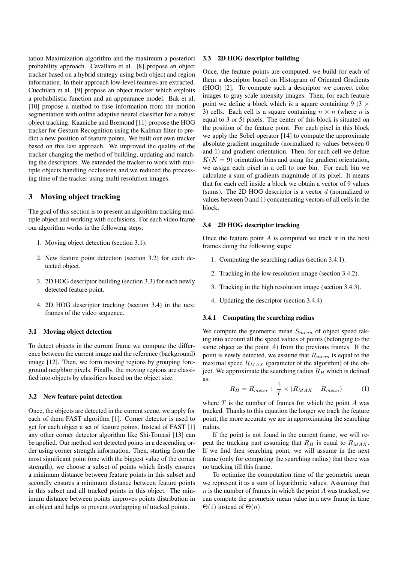tation Maximization algorithm and the maximum a posteriori probability approach. Cavallaro et al. [8] propose an object tracker based on a hybrid strategy using both object and region information. In their approach low-level features are extracted. Cucchiara et al. [9] propose an object tracker which exploits a probabilistic function and an appearance model. Bak et al. [10] propose a method to fuse information from the motion segmentation with online adaptive neural classifier for a robust object tracking. Kaaniche and Bremond [11] propose the HOG tracker for Gesture Recognition using the Kalman filter to predict a new position of feature points. We built our own tracker based on this last approach. We improved the quality of the tracker changing the method of building, updating and matching the descriptors. We extended the tracker to work with multiple objects handling occlusions and we reduced the processing time of the tracker using multi resolution images.

## 3 Moving object tracking

The goal of this section is to present an algorithm tracking multiple object and working with occlusions. For each video frame our algorithm works in the following steps:

- 1. Moving object detection (section 3.1).
- 2. New feature point detection (section 3.2) for each detected object.
- 3. 2D HOG descriptor building (section 3.3) for each newly detected feature point.
- 4. 2D HOG descriptor tracking (section 3.4) in the next frames of the video sequence.

## 3.1 Moving object detection

To detect objects in the current frame we compute the difference between the current image and the reference (background) image [12]. Then, we form moving regions by grouping foreground neighbor pixels. Finally, the moving regions are classified into objects by classifiers based on the object size.

#### 3.2 New feature point detection

Once, the objects are detected in the current scene, we apply for each of them FAST algorithm [1]. Corner detector is used to get for each object a set of feature points. Instead of FAST [1] any other corner detector algorithm like Shi-Tomasi [13] can be applied. Our method sort detected points in a descending order using corner strength information. Then, starting from the most significant point (one with the biggest value of the corner strength), we choose a subset of points which firstly ensures a minimum distance between feature points in this subset and secondly ensures a minimum distance between feature points in this subset and all tracked points in this object. The minimum distance between points improves points distribution in an object and helps to prevent overlapping of tracked points.

### 3.3 2D HOG descriptor building

Once, the feature points are computed, we build for each of them a descriptor based on Histogram of Oriented Gradients (HOG) [2]. To compute such a descriptor we convert color images to gray scale intensity images. Then, for each feature point we define a block which is a square containing 9 (3  $\times$ 3) cells. Each cell is a square containing  $n \times n$  (where *n* is equal to 3 or 5) pixels. The center of this block is situated on the position of the feature point. For each pixel in this block we apply the Sobel operator [14] to compute the approximate absolute gradient magnitude (normalized to values between 0 and 1) and gradient orientation. Then, for each cell we define  $K(K = 9)$  orientation bins and using the gradient orientation, we assign each pixel in a cell to one bin. For each bin we calculate a sum of gradients magnitude of its pixel. It means that for each cell inside a block we obtain a vector of 9 values (sums). The 2D HOG descriptor is a vector *d* (normalized to values between 0 and 1) concatenating vectors of all cells in the block.

### 3.4 2D HOG descriptor tracking

Once the feature point *A* is computed we track it in the next frames doing the following steps:

- 1. Computing the searching radius (section 3.4.1).
- 2. Tracking in the low resolution image (section 3.4.2).
- 3. Tracking in the high resolution image (section 3.4.3).
- 4. Updating the descriptor (section 3.4.4).

#### 3.4.1 Computing the searching radius

We compute the geometric mean *Smean* of object speed taking into account all the speed values of points (belonging to the same object as the point *A*) from the previous frames. If the point is newly detected, we assume that *Rmean* is equal to the maximal speed *RMAX* (parameter of the algorithm) of the object. We approximate the searching radius  $R<sub>H</sub>$  which is defined as:

$$
R_H = R_{mean} + \frac{1}{T} \times (R_{MAX} - R_{mean})
$$
 (1)

where *T* is the number of frames for which the point *A* was tracked. Thanks to this equation the longer we track the feature point, the more accurate we are in approximating the searching radius.

If the point is not found in the current frame, we will repeat the tracking part assuming that  $R_H$  is equal to  $R_{MAX}$ . If we find then searching point, we will assume in the next frame (only for computing the searching radius) that there was no tracking till this frame.

To optimize the computation time of the geometric mean we represent it as a sum of logarithmic values. Assuming that *n* is the number of frames in which the point *A* was tracked, we can compute the geometric mean value in a new frame in time  $\Theta(1)$  instead of  $\Theta(n)$ .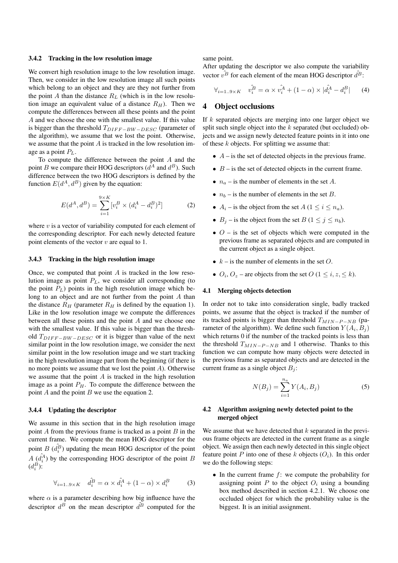### 3.4.2 Tracking in the low resolution image

We convert high resolution image to the low resolution image. Then, we consider in the low resolution image all such points which belong to an object and they are they not further from the point *A* than the distance  $R_L$  (which is in the low resolution image an equivalent value of a distance  $R_H$ ). Then we compute the differences between all these points and the point *A* and we choose the one with the smallest value. If this value is bigger than the threshold *TDIF F* <sup>−</sup>*BW*−*DESC* (parameter of the algorithm), we assume that we lost the point. Otherwise, we assume that the point *A* is tracked in the low resolution image as a point *PL*.

To compute the difference between the point *A* and the point *B* we compare their HOG descriptors  $(d^A \text{ and } d^B)$ . Such difference between the two HOG descriptors is defined by the function  $E(d^A, d^B)$  given by the equation:

$$
E(d^A, d^B) = \sum_{i=1}^{9 \times K} [v_i^B \times (d_i^A - d_i^B)^2]
$$
 (2)

where *v* is a vector of variability computed for each element of the corresponding descriptor. For each newly detected feature point elements of the vector *v* are equal to 1.

## 3.4.3 Tracking in the high resolution image

Once, we computed that point *A* is tracked in the low resolution image as point *PL*, we consider all corresponding (to the point  $P_L$ ) points in the high resolution image which belong to an object and are not further from the point *A* than the distance  $R_H$  (parameter  $R_H$  is defined by the equation 1). Like in the low resolution image we compute the differences between all these points and the point *A* and we choose one with the smallest value. If this value is bigger than the threshold *TDIF F* <sup>−</sup>*BW*−*DESC* or it is bigger than value of the next similar point in the low resolution image, we consider the next similar point in the low resolution image and we start tracking in the high resolution image part from the beginning (if there is no more points we assume that we lost the point *A*). Otherwise we assume that the point *A* is tracked in the high resolution image as a point  $P_H$ . To compute the difference between the point *A* and the point *B* we use the equation 2.

#### 3.4.4 Updating the descriptor

We assume in this section that in the high resolution image point *A* from the previous frame is tracked as a point *B* in the current frame. We compute the mean HOG descriptor for the point *B*  $(\hat{d}_i^B)$  updating the mean HOG descriptor of the point  $A(\hat{d}_i^{\hat{A}})$  by the corresponding HOG descriptor of the point *B*  $(d_i^B)$ :

$$
\forall_{i=1..9\times K} \quad \hat{d}_i^B = \alpha \times \hat{d}_i^A + (1-\alpha) \times d_i^B \tag{3}
$$

where  $\alpha$  is a parameter describing how big influence have the descriptor  $d^B$  on the mean descriptor  $d^{\overline{B}}$  computed for the

same point.

After updating the descriptor we also compute the variability vector  $v^{\hat{B}}$  for each element of the mean HOG descriptor  $\hat{d}^{\hat{B}}$ :

$$
\forall_{i=1..9\times K} \quad \hat{v}_i^B = \alpha \times \hat{v}_i^A + (1 - \alpha) \times |\hat{d}_i^A - d_i^B| \tag{4}
$$

## 4 Object occlusions

If *k* separated objects are merging into one larger object we split such single object into the *k* separated (but occluded) objects and we assign newly detected feature points in it into one of these *k* objects. For splitting we assume that:

- $\bullet$  *A* is the set of detected objects in the previous frame.
- $\bullet$  *B* is the set of detected objects in the current frame.
- $n_a$  is the number of elements in the set *A*.
- $n_b$  is the number of elements in the set *B*.
- $A_i$  is the object from the set  $A$  ( $1 \le i \le n_a$ ).
- $B_j$  is the object from the set  $B$  (1  $\leq j \leq n_b$ ).
- $\bullet$  *O* is the set of objects which were computed in the previous frame as separated objects and are computed in the current object as a single object.
- $k -$  is the number of elements in the set  $Q$ .
- $O_i$ ,  $O_z$  are objects from the set  $O$  ( $1 \leq i, z, \leq k$ ).

#### 4.1 Merging objects detection

In order not to take into consideration single, badly tracked points, we assume that the object is tracked if the number of its tracked points is bigger than threshold  $T_{MIN-P-NB}$  (parameter of the algorithm). We define such function  $Y(A_i, B_j)$ which returns 0 if the number of the tracked points is less than the threshold *T*<sub>*MIN−P*−*NB* and 1 otherwise. Thanks to this</sub> function we can compute how many objects were detected in the previous frame as separated objects and are detected in the current frame as a single object *B<sup>j</sup>* :

$$
N(B_j) = \sum_{i=1}^{n_a} Y(A_i, B_j)
$$
 (5)

## 4.2 Algorithm assigning newly detected point to the merged object

We assume that we have detected that *k* separated in the previous frame objects are detected in the current frame as a single object. We assign then each newly detected in this single object feature point P into one of these  $k$  objects  $(O_i)$ . In this order we do the following steps:

• In the current frame *f*: we compute the probability for assigning point  $P$  to the object  $O_i$  using a bounding box method described in section 4.2.1. We choose one occluded object for which the probability value is the biggest. It is an initial assignment.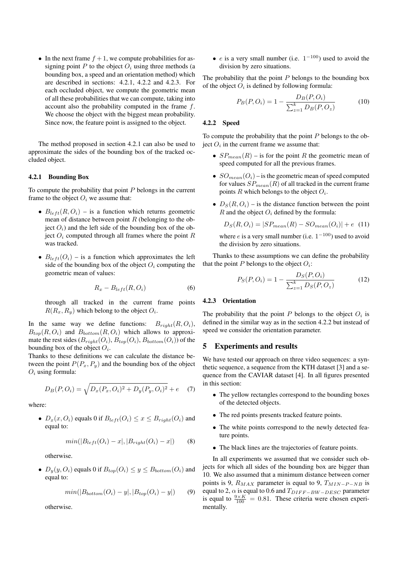• In the next frame  $f + 1$ , we compute probabilities for assigning point *P* to the object  $O_i$  using three methods (a bounding box, a speed and an orientation method) which are described in sections: 4.2.1, 4.2.2 and 4.2.3. For each occluded object, we compute the geometric mean of all these probabilities that we can compute, taking into account also the probability computed in the frame *f*. We choose the object with the biggest mean probability. Since now, the feature point is assigned to the object.

The method proposed in section 4.2.1 can also be used to approximate the sides of the bounding box of the tracked occluded object.

#### 4.2.1 Bounding Box

To compute the probability that point *P* belongs in the current frame to the object  $O_i$  we assume that:

- $B_{left}(R, O_i)$  is a function which returns geometric mean of distance between point *R* (belonging to the object  $O_i$ ) and the left side of the bounding box of the object  $O_i$  computed through all frames where the point  $R$ was tracked.
- $B_{left}(O_i)$  is a function which approximates the left side of the bounding box of the object  $O_i$  computing the geometric mean of values:

$$
R_x - B_{left}(R, O_i) \tag{6}
$$

through all tracked in the current frame points  $R(R_x, R_y)$  which belong to the object  $O_i$ .

In the same way we define functions:  $B_{right}(R, O_i)$ ,  $B_{top}(R, O_i)$  and  $B_{bottom}(R, O_i)$  which allows to approximate the rest sides  $(B_{riath}(O_i), B_{top}(O_i), B_{bottom}(O_i))$  of the bounding box of the object *O<sup>i</sup>* .

Thanks to these definitions we can calculate the distance between the point  $P(P_x, P_y)$  and the bounding box of the object *O<sup>i</sup>* using formula:

$$
D_B(P, O_i) = \sqrt{D_x(P_x, O_i)^2 + D_y(P_y, O_i)^2} + e \quad (7)
$$

where:

•  $D_x(x, O_i)$  equals 0 if  $B_{left}(O_i) \leq x \leq B_{right}(O_i)$  and equal to:

$$
min(|B_{left}(O_i) - x|, |B_{right}(O_i) - x|)
$$
 (8)

otherwise.

•  $D_y(y, O_i)$  equals 0 if  $B_{top}(O_i) \le y \le B_{bottom}(O_i)$  and equal to:

$$
min(|B_{bottom}(O_i) - y|, |B_{top}(O_i) - y|)
$$
 (9)

otherwise.

• *e* is a very small number (i.e.  $1^{-100}$ ) used to avoid the division by zero situations.

The probability that the point *P* belongs to the bounding box of the object  $O_i$  is defined by following formula:

$$
P_B(P, O_i) = 1 - \frac{D_B(P, O_i)}{\sum_{z=1}^k D_B(P, O_z)}
$$
(10)

#### 4.2.2 Speed

To compute the probability that the point *P* belongs to the ob- $\text{ject } O_i$  in the current frame we assume that:

- $SP_{mean}(R)$  is for the point *R* the geometric mean of speed computed for all the previous frames.
- $SO_{mean}(O_i)$  is the geometric mean of speed computed for values  $SP_{mean}(R)$  of all tracked in the current frame points *R* which belongs to the object *O<sup>i</sup>* .
- $D_S(R, O_i)$  is the distance function between the point *R* and the object  $O_i$  defined by the formula:

$$
D_S(R, O_i) = |SP_{mean}(R) - SO_{mean}(O_i)| + e \quad (11)
$$

where  $e$  is a very small number (i.e.  $1^{-100}$ ) used to avoid the division by zero situations.

Thanks to these assumptions we can define the probability that the point  $P$  belongs to the object  $O_i$ :

$$
P_S(P, O_i) = 1 - \frac{D_S(P, O_i)}{\sum_{z=1}^k D_S(P, O_z)}
$$
(12)

#### 4.2.3 Orientation

The probability that the point  $P$  belongs to the object  $O_i$  is defined in the similar way as in the section 4.2.2 but instead of speed we consider the orientation parameter.

## 5 Experiments and results

We have tested our approach on three video sequences: a synthetic sequence, a sequence from the KTH dataset [3] and a sequence from the CAVIAR dataset [4]. In all figures presented in this section:

- The yellow rectangles correspond to the bounding boxes of the detected objects.
- The red points presents tracked feature points.
- The white points correspond to the newly detected feature points.
- The black lines are the trajectories of feature points.

In all experiments we assumed that we consider such objects for which all sides of the bounding box are bigger than 10. We also assumed that a minimum distance between corner points is 9,  $R_{MAX}$  parameter is equal to 9,  $T_{MIN-P-NB}$  is equal to 2,  $\alpha$  is equal to 0.6 and  $T_{DIFF-BW-DESC}$  parameter is equal to  $\frac{9 \times K}{100} = 0.81$ . These criteria were chosen experimentally.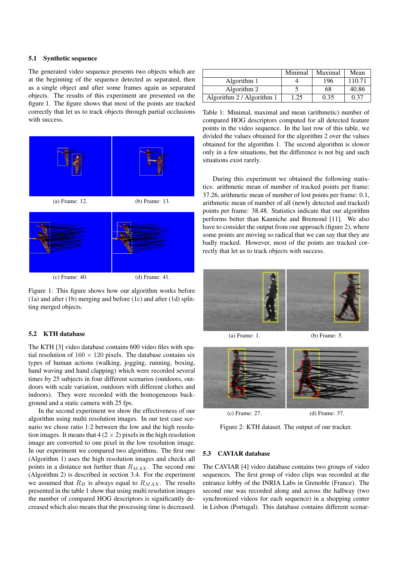## 5.1 Synthetic sequence

The generated video sequence presents two objects which are at the beginning of the sequence detected as separated, then as a single object and after some frames again as separated objects. The results of this experiment are presented on the figure 1. The figure shows that most of the points are tracked correctly that let us to track objects through partial occlusions with success.



(c) Frame: 40. (d) Frame: 41.

Figure 1: This figure shows how our algorithm works before (1a) and after (1b) merging and before (1c) and after (1d) splitting merged objects.

### 5.2 KTH database

The KTH [3] video database contains 600 video files with spatial resolution of  $160 \times 120$  pixels. The database contains six types of human actions (walking, jogging, running, boxing, hand waving and hand clapping) which were recorded several times by 25 subjects in four different scenarios (outdoors, outdoors with scale variation, outdoors with different clothes and indoors). They were recorded with the homogeneous background and a static camera with 25 fps.

In the second experiment we show the effectiveness of our algorithm using multi resolution images. In our test case scenario we chose ratio 1:2 between the low and the high resolution images. It means that  $4(2 \times 2)$  pixels in the high resolution image are converted to one pixel in the low resolution image. In our experiment we compared two algorithms. The first one (Algorithm 1) uses the high resolution images and checks all points in a distance not further than *RMAX*. The second one (Algorithm 2) is described in section 3.4. For the experiment we assumed that  $R_H$  is always equal to  $R_{MAX}$ . The results presented in the table 1 show that using multi resolution images the number of compared HOG descriptors is significantly decreased which also means that the processing time is decreased.

|                           | Minimal | Maximal | Mean   |
|---------------------------|---------|---------|--------|
| Algorithm 1               |         | 196     | 110.71 |
| Algorithm 2               |         | 68      | 40.86  |
| Algorithm 2 / Algorithm 1 | 1.25    | 0.35    | 0.37   |

Table 1: Minimal, maximal and mean (arithmetic) number of compared HOG descriptors computed for all detected feature points in the video sequence. In the last row of this table, we divided the values obtained for the algorithm 2 over the values obtained for the algorithm 1. The second algorithm is slower only in a few situations, but the difference is not big and such situations exist rarely.

During this experiment we obtained the following statistics: arithmetic mean of number of tracked points per frame: 37.26, arithmetic mean of number of lost points per frame: 0.1, arithmetic mean of number of all (newly detected and tracked) points per frame: 38.48. Statistics indicate that our algorithm performs better than Kanniche and Bremond [11]. We also have to consider the output from our approach (figure 2), where some points are moving so radical that we can say that they are badly tracked. However, most of the points are tracked correctly that let us to track objects with success.



(a) Frame: 1. (b) Frame: 5.



Figure 2: KTH dataset. The output of our tracker.

### 5.3 CAVIAR database

The CAVIAR [4] video database contains two groups of video sequences. The first group of video clips was recorded at the entrance lobby of the INRIA Labs in Grenoble (France). The second one was recorded along and across the hallway (two synchronized videos for each sequence) in a shopping center in Lisbon (Portugal). This database contains different scenar